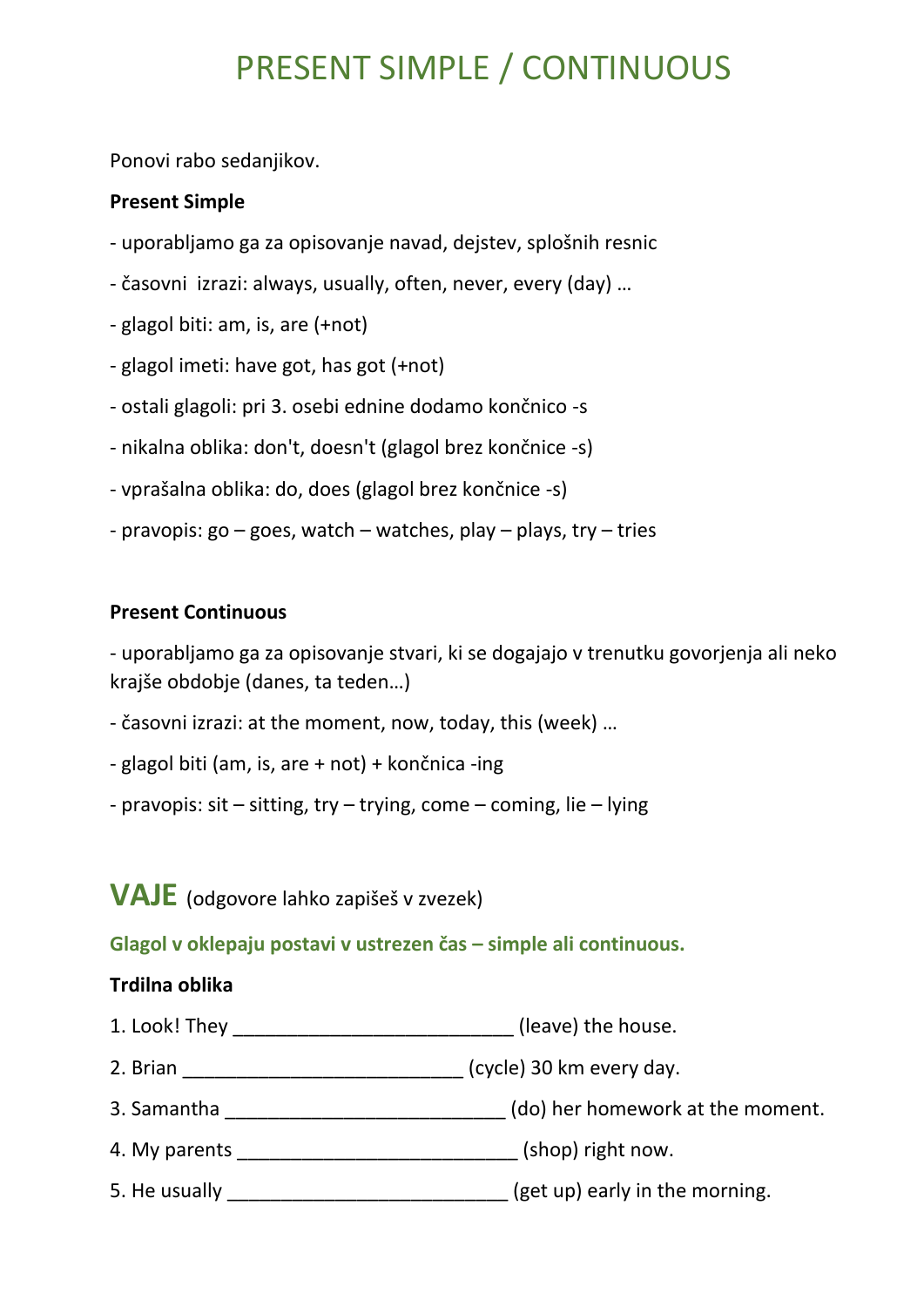# PRESENT SIMPLE / CONTINUOUS

Ponovi rabo sedanjikov.

#### **Present Simple**

- uporabljamo ga za opisovanje navad, dejstev, splošnih resnic
- časovni izrazi: always, usually, often, never, every (day) …
- glagol biti: am, is, are (+not)
- glagol imeti: have got, has got (+not)
- ostali glagoli: pri 3. osebi ednine dodamo končnico -s
- nikalna oblika: don't, doesn't (glagol brez končnice -s)
- vprašalna oblika: do, does (glagol brez končnice -s)
- pravopis:  $go goes$ , watch watches, play plays, try tries

#### **Present Continuous**

- uporabljamo ga za opisovanje stvari, ki se dogajajo v trenutku govorjenja ali neko krajše obdobje (danes, ta teden…)

- časovni izrazi: at the moment, now, today, this (week) …
- glagol biti (am, is, are + not) + končnica -ing
- pravopis:  $s$ it sitting, try trying, come coming, lie lying

# **VAJE** (odgovore lahko zapišeš v zvezek)

## **Glagol v oklepaju postavi v ustrezen čas – simple ali continuous.**

#### **Trdilna oblika**

- 1. Look! They \_\_\_\_\_\_\_\_\_\_\_\_\_\_\_\_\_\_\_\_\_\_\_\_\_\_ (leave) the house.
- 2. Brian \_\_\_\_\_\_\_\_\_\_\_\_\_\_\_\_\_\_\_\_\_\_\_\_\_\_ (cycle) 30 km every day.
- 3. Samantha \_\_\_\_\_\_\_\_\_\_\_\_\_\_\_\_\_\_\_\_\_\_\_\_\_\_ (do) her homework at the moment.
- 4. My parents \_\_\_\_\_\_\_\_\_\_\_\_\_\_\_\_\_\_\_\_\_\_\_\_\_\_ (shop) right now.
- 5. He usually \_\_\_\_\_\_\_\_\_\_\_\_\_\_\_\_\_\_\_\_\_\_\_\_\_\_\_\_(get up) early in the morning.